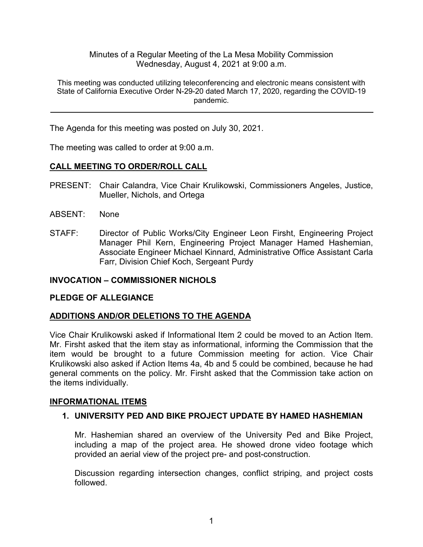Minutes of a Regular Meeting of the La Mesa Mobility Commission Wednesday, August 4, 2021 at 9:00 a.m.

This meeting was conducted utilizing teleconferencing and electronic means consistent with State of California Executive Order N-29-20 dated March 17, 2020, regarding the COVID-19 pandemic.

The Agenda for this meeting was posted on July 30, 2021.

The meeting was called to order at 9:00 a.m.

## **CALL MEETING TO ORDER/ROLL CALL**

- PRESENT: Chair Calandra, Vice Chair Krulikowski, Commissioners Angeles, Justice, Mueller, Nichols, and Ortega
- ABSENT: None
- STAFF: Director of Public Works/City Engineer Leon Firsht, Engineering Project Manager Phil Kern, Engineering Project Manager Hamed Hashemian, Associate Engineer Michael Kinnard, Administrative Office Assistant Carla Farr, Division Chief Koch, Sergeant Purdy

## **INVOCATION – COMMISSIONER NICHOLS**

#### **PLEDGE OF ALLEGIANCE**

#### **ADDITIONS AND/OR DELETIONS TO THE AGENDA**

Vice Chair Krulikowski asked if Informational Item 2 could be moved to an Action Item. Mr. Firsht asked that the item stay as informational, informing the Commission that the item would be brought to a future Commission meeting for action. Vice Chair Krulikowski also asked if Action Items 4a, 4b and 5 could be combined, because he had general comments on the policy. Mr. Firsht asked that the Commission take action on the items individually.

#### **INFORMATIONAL ITEMS**

## **1. UNIVERSITY PED AND BIKE PROJECT UPDATE BY HAMED HASHEMIAN**

Mr. Hashemian shared an overview of the University Ped and Bike Project, including a map of the project area. He showed drone video footage which provided an aerial view of the project pre- and post-construction.

Discussion regarding intersection changes, conflict striping, and project costs followed.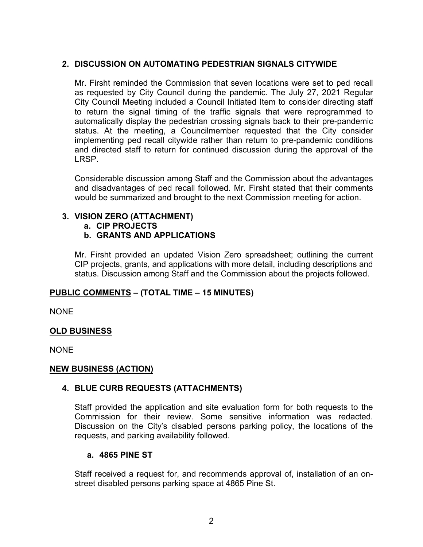### **2. DISCUSSION ON AUTOMATING PEDESTRIAN SIGNALS CITYWIDE**

Mr. Firsht reminded the Commission that seven locations were set to ped recall as requested by City Council during the pandemic. The July 27, 2021 Regular City Council Meeting included a Council Initiated Item to consider directing staff to return the signal timing of the traffic signals that were reprogrammed to automatically display the pedestrian crossing signals back to their pre-pandemic status. At the meeting, a Councilmember requested that the City consider implementing ped recall citywide rather than return to pre-pandemic conditions and directed staff to return for continued discussion during the approval of the LRSP.

Considerable discussion among Staff and the Commission about the advantages and disadvantages of ped recall followed. Mr. Firsht stated that their comments would be summarized and brought to the next Commission meeting for action.

#### **3. VISION ZERO (ATTACHMENT)**

**a. CIP PROJECTS** 

#### **b. GRANTS AND APPLICATIONS**

Mr. Firsht provided an updated Vision Zero spreadsheet; outlining the current CIP projects, grants, and applications with more detail, including descriptions and status. Discussion among Staff and the Commission about the projects followed.

#### **PUBLIC COMMENTS – (TOTAL TIME – 15 MINUTES)**

NONE

#### **OLD BUSINESS**

NONE

#### **NEW BUSINESS (ACTION)**

#### **4. BLUE CURB REQUESTS (ATTACHMENTS)**

Staff provided the application and site evaluation form for both requests to the Commission for their review. Some sensitive information was redacted. Discussion on the City's disabled persons parking policy, the locations of the requests, and parking availability followed.

#### **a. 4865 PINE ST**

Staff received a request for, and recommends approval of, installation of an onstreet disabled persons parking space at 4865 Pine St.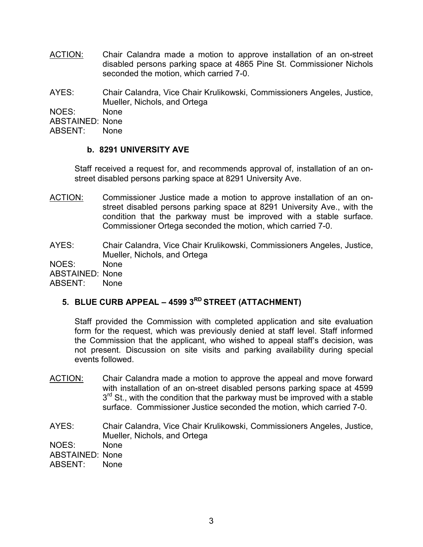ACTION: Chair Calandra made a motion to approve installation of an on-street disabled persons parking space at 4865 Pine St. Commissioner Nichols seconded the motion, which carried 7-0.

AYES: Chair Calandra, Vice Chair Krulikowski, Commissioners Angeles, Justice, Mueller, Nichols, and Ortega

NOES: None

ABSTAINED: None

ABSENT: None

## **b. 8291 UNIVERSITY AVE**

Staff received a request for, and recommends approval of, installation of an onstreet disabled persons parking space at 8291 University Ave.

ACTION: Commissioner Justice made a motion to approve installation of an onstreet disabled persons parking space at 8291 University Ave., with the condition that the parkway must be improved with a stable surface. Commissioner Ortega seconded the motion, which carried 7-0.

AYES: Chair Calandra, Vice Chair Krulikowski, Commissioners Angeles, Justice, Mueller, Nichols, and Ortega

NOES: None ABSTAINED: None

ABSENT: None

# **5. BLUE CURB APPEAL – 4599 3RD STREET (ATTACHMENT)**

Staff provided the Commission with completed application and site evaluation form for the request, which was previously denied at staff level. Staff informed the Commission that the applicant, who wished to appeal staff's decision, was not present. Discussion on site visits and parking availability during special events followed.

- ACTION: Chair Calandra made a motion to approve the appeal and move forward with installation of an on-street disabled persons parking space at 4599 3<sup>rd</sup> St., with the condition that the parkway must be improved with a stable surface. Commissioner Justice seconded the motion, which carried 7-0.
- AYES: Chair Calandra, Vice Chair Krulikowski, Commissioners Angeles, Justice, Mueller, Nichols, and Ortega NOES: None ABSTAINED: None<br>ABSENT: None ABSENT: